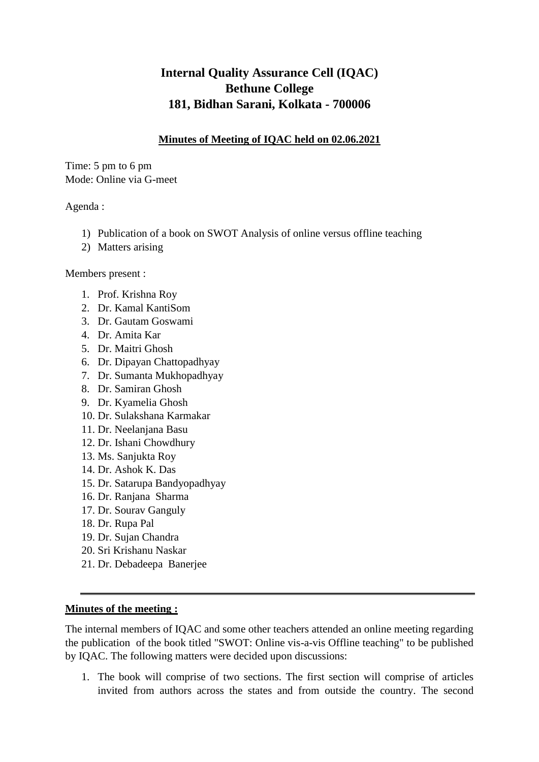## **Internal Quality Assurance Cell (IQAC) Bethune College 181, Bidhan Sarani, Kolkata - 700006**

## **Minutes of Meeting of IQAC held on 02.06.2021**

Time: 5 pm to 6 pm Mode: Online via G-meet

Agenda :

- 1) Publication of a book on SWOT Analysis of online versus offline teaching
- 2) Matters arising

Members present :

- 1. Prof. Krishna Roy
- 2. Dr. Kamal KantiSom
- 3. Dr. Gautam Goswami
- 4. Dr. Amita Kar
- 5. Dr. Maitri Ghosh
- 6. Dr. Dipayan Chattopadhyay
- 7. Dr. Sumanta Mukhopadhyay
- 8. Dr. Samiran Ghosh
- 9. Dr. Kyamelia Ghosh
- 10. Dr. Sulakshana Karmakar
- 11. Dr. Neelanjana Basu
- 12. Dr. Ishani Chowdhury
- 13. Ms. Sanjukta Roy
- 14. Dr. Ashok K. Das
- 15. Dr. Satarupa Bandyopadhyay
- 16. Dr. Ranjana Sharma
- 17. Dr. Sourav Ganguly
- 18. Dr. Rupa Pal
- 19. Dr. Sujan Chandra
- 20. Sri Krishanu Naskar
- 21. Dr. Debadeepa Banerjee

## **Minutes of the meeting :**

The internal members of IQAC and some other teachers attended an online meeting regarding the publication of the book titled "SWOT: Online vis-a-vis Offline teaching" to be published by IQAC. The following matters were decided upon discussions:

1. The book will comprise of two sections. The first section will comprise of articles invited from authors across the states and from outside the country. The second